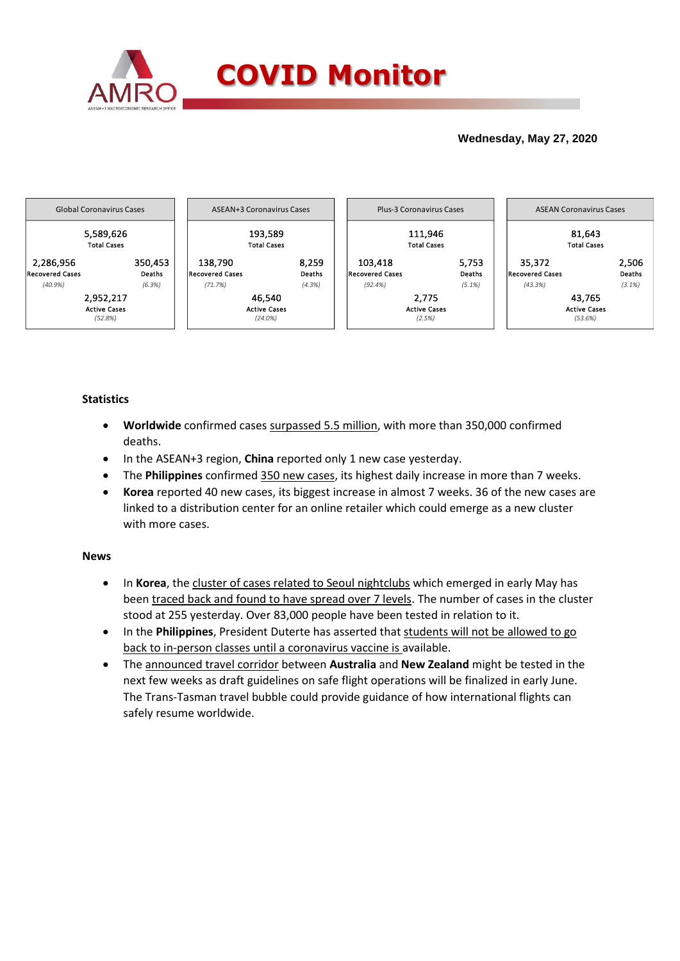

## **Wednesday, May 27, 2020**



### **Statistics**

- **Worldwide** confirmed cases surpassed 5.5 million, with more than 350,000 confirmed deaths.
- In the ASEAN+3 region, **China** reported only 1 new case yesterday.
- The **Philippines** confirmed 350 new cases, its highest daily increase in more than 7 weeks.
- **Korea** reported 40 new cases, its biggest increase in almost 7 weeks. 36 of the new cases are linked to a distribution center for an online retailer which could emerge as a new cluster with more cases.

### **News**

- In **Korea**, the cluster of cases related to Seoul nightclubs which emerged in early May has been traced back and found to have spread over 7 levels. The number of cases in the cluster stood at 255 yesterday. Over 83,000 people have been tested in relation to it.
- In the **Philippines**, President Duterte has asserted that students will not be allowed to go back to in-person classes until a coronavirus vaccine is available.
- The announced travel corridor between **Australia** and **New Zealand** might be tested in the next few weeks as draft guidelines on safe flight operations will be finalized in early June. The Trans-Tasman travel bubble could provide guidance of how international flights can safely resume worldwide.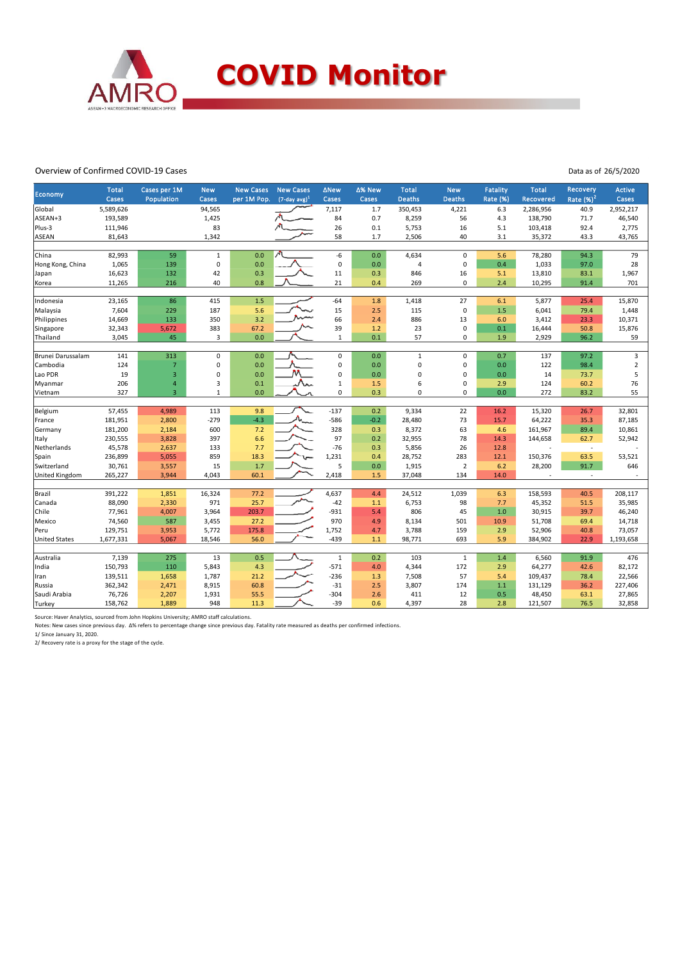

#### Overview of Confirmed COVID-19 Cases

Data as of 26/5/2020

| Economy                  | <b>Total</b><br>Cases | Cases per 1M<br>Population | <b>New</b><br>Cases | <b>New Cases</b><br>per 1M Pop. | <b>New Cases</b><br>$(7$ -day avg $)^1$ | <b>ANew</b><br>Cases | ∆% New<br>Cases | Total<br><b>Deaths</b> | <b>New</b><br><b>Deaths</b> | Fatality<br><b>Rate (%)</b> | <b>Total</b><br>Recovered | Recovery<br>Rate $(%)2$  | <b>Active</b><br>Cases |
|--------------------------|-----------------------|----------------------------|---------------------|---------------------------------|-----------------------------------------|----------------------|-----------------|------------------------|-----------------------------|-----------------------------|---------------------------|--------------------------|------------------------|
| Global                   | 5,589,626             |                            | 94,565              |                                 |                                         | 7,117                | 1.7             | 350,453                | 4,221                       | 6.3                         | 2,286,956                 | 40.9                     | 2,952,217              |
| ASEAN+3                  | 193,589               |                            | 1,425               |                                 |                                         | 84                   | 0.7             | 8,259                  | 56                          | 4.3                         | 138,790                   | 71.7                     | 46,540                 |
| Plus-3                   | 111,946               |                            | 83                  |                                 |                                         | 26                   | 0.1             | 5,753                  | 16                          | 5.1                         | 103,418                   | 92.4                     | 2,775                  |
| ASEAN                    | 81,643                |                            | 1,342               |                                 |                                         | 58                   | 1.7             | 2,506                  | 40                          | 3.1                         | 35,372                    | 43.3                     | 43,765                 |
| China                    | 82,993                | 59                         | $\mathbf{1}$        | 0.0                             |                                         | -6                   | 0.0             | 4,634                  | $\mathsf 0$                 | 5.6                         | 78,280                    | 94.3                     | 79                     |
| Hong Kong, China         | 1,065                 | 139                        | $\mathbf 0$         | 0.0                             |                                         | $\mathsf 0$          | 0.0             | $\overline{4}$         | $\mathsf 0$                 | 0.4                         | 1,033                     | 97.0                     | 28                     |
| Japan                    | 16,623                | 132                        | 42                  | 0.3                             |                                         | 11                   | 0.3             | 846                    | 16                          | 5.1                         | 13,810                    | 83.1                     | 1,967                  |
| Korea                    | 11,265                | 216                        | 40                  | 0.8                             |                                         | 21                   | 0.4             | 269                    | $\mathbf 0$                 | 2.4                         | 10,295                    | 91.4                     | 701                    |
|                          |                       |                            |                     |                                 |                                         |                      |                 |                        |                             |                             |                           |                          |                        |
| Indonesia                | 23,165                | 86                         | 415                 | 1.5                             |                                         | $-64$                | $1.8\,$         | 1,418                  | 27                          | 6.1                         | 5,877                     | 25.4                     | 15,870                 |
| Malaysia                 | 7,604                 | 229<br>133                 | 187<br>350          | 5.6<br>3.2                      |                                         | 15<br>66             | 2.5<br>2.4      | 115<br>886             | $\pmb{0}$                   | 1.5<br>6.0                  | 6,041                     | 79.4<br>23.3             | 1,448                  |
| Philippines<br>Singapore | 14,669<br>32,343      | 5,672                      | 383                 | 67.2                            |                                         | 39                   | 1.2             | 23                     | 13<br>$\mathbf 0$           | 0.1                         | 3,412<br>16,444           | 50.8                     | 10,371<br>15,876       |
| Thailand                 | 3,045                 | 45                         | 3                   | 0.0                             |                                         | $\mathbf{1}$         | 0.1             | 57                     | $\mathbf 0$                 | 1.9                         | 2,929                     | 96.2                     | 59                     |
|                          |                       |                            |                     |                                 |                                         |                      |                 |                        |                             |                             |                           |                          |                        |
| Brunei Darussalam        | 141                   | 313                        | $\mathsf 0$         | 0.0                             |                                         | $\mathbf 0$          | 0.0             | $\mathbf{1}$           | $\mathbf{0}$                | 0.7                         | 137                       | 97.2                     | 3                      |
| Cambodia                 | 124                   | $\overline{7}$             | $\pmb{0}$           | 0.0                             |                                         | $\mathbf 0$          | 0.0             | $\mathbf 0$            | $\mathbf 0$                 | 0.0                         | 122                       | 98.4                     | $\sqrt{2}$             |
| Lao PDR                  | 19                    | 3                          | $\pmb{0}$           | 0.0                             |                                         | $\mathbf 0$          | 0.0             | 0                      | $\mathbf 0$                 | 0.0                         | 14                        | 73.7                     | 5                      |
| Myanmar                  | 206                   | $\overline{\mathbf{4}}$    | 3                   | 0.1                             |                                         | $\mathbf{1}$         | 1.5             | 6                      | $\mathbf 0$                 | 2.9                         | 124                       | 60.2                     | 76                     |
| Vietnam                  | 327                   | $\overline{3}$             | $\overline{1}$      | 0.0                             |                                         | $\mathbf 0$          | 0.3             | $\pmb{0}$              | $\mathbf 0$                 | 0.0                         | 272                       | 83.2                     | 55                     |
| Belgium                  | 57,455                | 4,989                      | 113                 | 9.8                             |                                         | $-137$               | 0.2             | 9,334                  | 22                          | 16.2                        | 15,320                    | 26.7                     | 32,801                 |
| France                   | 181,951               | 2,800                      | $-279$              | $-4.3$                          |                                         | $-586$               | $-0.2$          | 28,480                 | 73                          | 15.7                        | 64,222                    | 35.3                     | 87,185                 |
| Germany                  | 181,200               | 2,184                      | 600                 | 7.2                             |                                         | 328                  | 0.3             | 8,372                  | 63                          | 4.6                         | 161,967                   | 89.4                     | 10,861                 |
| Italy                    | 230,555               | 3,828                      | 397                 | 6.6                             |                                         | 97                   | 0.2             | 32,955                 | 78                          | 14.3                        | 144,658                   | 62.7                     | 52,942                 |
| Netherlands              | 45,578                | 2,637                      | 133                 | 7.7                             |                                         | $-76$                | 0.3             | 5,856                  | 26                          | 12.8                        |                           | $\overline{\phantom{a}}$ |                        |
| Spain                    | 236,899               | 5,055                      | 859                 | 18.3                            |                                         | 1,231                | 0.4             | 28,752                 | 283                         | 12.1                        | 150,376                   | 63.5                     | 53,521                 |
| Switzerland              | 30,761                | 3,557                      | 15                  | 1.7                             |                                         | 5                    | 0.0             | 1,915                  | $\overline{2}$              | 6.2                         | 28,200                    | 91.7                     | 646                    |
| United Kingdom           | 265,227               | 3,944                      | 4,043               | 60.1                            |                                         | 2,418                | 1.5             | 37,048                 | 134                         | 14.0                        |                           | $\sim$                   |                        |
|                          |                       |                            |                     |                                 |                                         |                      |                 |                        |                             |                             |                           |                          |                        |
| Brazil                   | 391,222               | 1,851                      | 16,324              | 77.2                            |                                         | 4,637                | 4.4             | 24,512                 | 1,039                       | 6.3                         | 158,593                   | 40.5                     | 208,117                |
| Canada                   | 88,090                | 2,330                      | 971                 | 25.7                            |                                         | $-42$                | $1.1$           | 6,753                  | 98                          | 7.7                         | 45,352                    | 51.5                     | 35,985                 |
| Chile                    | 77,961                | 4,007                      | 3,964               | 203.7                           |                                         | $-931$               | 5.4             | 806                    | 45                          | 1.0                         | 30,915                    | 39.7                     | 46,240                 |
| Mexico                   | 74,560                | 587                        | 3,455               | 27.2                            |                                         | 970                  | 4.9             | 8,134                  | 501                         | 10.9                        | 51,708                    | 69.4                     | 14,718                 |
| Peru                     | 129,751               | 3,953                      | 5,772               | 175.8                           |                                         | 1,752                | 4.7             | 3,788                  | 159                         | 2.9                         | 52,906                    | 40.8                     | 73,057                 |
| <b>United States</b>     | 1,677,331             | 5,067                      | 18,546              | 56.0                            |                                         | $-439$               | 1.1             | 98,771                 | 693                         | 5.9                         | 384,902                   | 22.9                     | 1,193,658              |
| Australia                | 7,139                 | 275                        | 13                  | 0.5                             |                                         | $\,1\,$              | 0.2             | 103                    | $\mathbf 1$                 | 1.4                         | 6,560                     | 91.9                     | 476                    |
| India                    | 150,793               | 110                        | 5,843               | 4.3                             |                                         | $-571$               | 4.0             | 4,344                  | 172                         | 2.9                         | 64,277                    | 42.6                     | 82,172                 |
| Iran                     | 139,511               | 1,658                      | 1,787               | 21.2                            |                                         | $-236$               | 1.3             | 7,508                  | 57                          | 5.4                         | 109,437                   | 78.4                     | 22,566                 |
| Russia                   | 362,342               | 2,471                      | 8,915               | 60.8                            |                                         | $-31$                | 2.5             | 3,807                  | 174                         | 1.1                         | 131,129                   | 36.2                     | 227,406                |
| Saudi Arabia             | 76,726                | 2,207                      | 1,931               | 55.5                            |                                         | $-304$               | 2.6             | 411                    | 12                          | 0.5                         | 48,450                    | 63.1                     | 27,865                 |
| Turkey                   | 158,762               | 1,889                      | 948                 | 11.3                            |                                         | $-39$                | 0.6             | 4,397                  | 28                          | 2.8                         | 121,507                   | 76.5                     | 32,858                 |

Source: Haver Analytics, sourced from John Hopkins University; AMRO staff calculations.<br>Notes: New cases since previous day. ∆% refers to percentage change since previous day. Fatality rate measured as deaths per confirme

2/ Recovery rate is a proxy for the stage of the cycle.